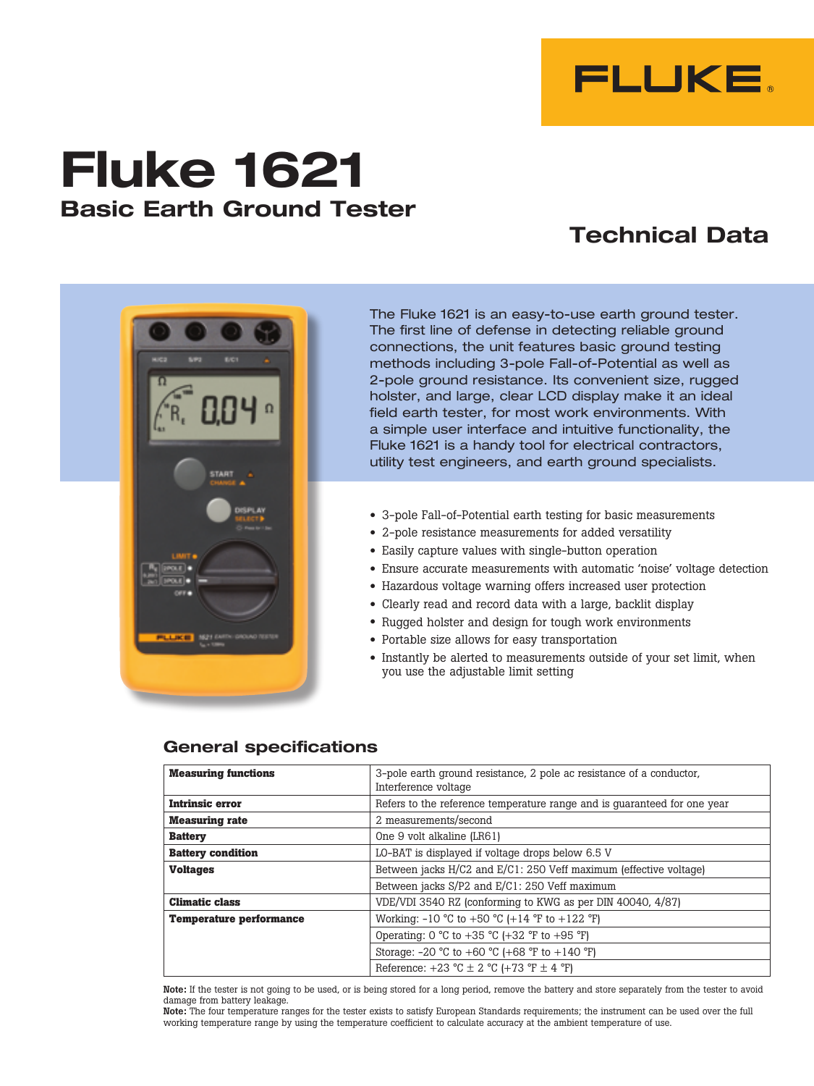

# **Fluke 1621 Basic Earth Ground Tester**

# **Technical Data**



The Fluke 1621 is an easy-to-use earth ground tester. The first line of defense in detecting reliable ground connections, the unit features basic ground testing methods including 3-pole Fall-of-Potential as well as 2-pole ground resistance. Its convenient size, rugged holster, and large, clear LCD display make it an ideal field earth tester, for most work environments. With a simple user interface and intuitive functionality, the Fluke 1621 is a handy tool for electrical contractors, utility test engineers, and earth ground specialists.

- 3-pole Fall-of-Potential earth testing for basic measurements
- 2-pole resistance measurements for added versatility
- Easily capture values with single-button operation
- Ensure accurate measurements with automatic 'noise' voltage detection
- Hazardous voltage warning offers increased user protection
- Clearly read and record data with a large, backlit display
- Rugged holster and design for tough work environments
- Portable size allows for easy transportation
- Instantly be alerted to measurements outside of your set limit, when you use the adjustable limit setting

| <b>Measuring functions</b>     | 3-pole earth ground resistance, 2 pole ac resistance of a conductor.<br>Interference voltage |  |
|--------------------------------|----------------------------------------------------------------------------------------------|--|
| <b>Intrinsic error</b>         | Refers to the reference temperature range and is quaranteed for one year                     |  |
| <b>Measuring rate</b>          | 2 measurements/second                                                                        |  |
| <b>Battery</b>                 | One 9 volt alkaline (LR61)                                                                   |  |
| <b>Battery condition</b>       | LO-BAT is displayed if voltage drops below 6.5 V                                             |  |
| <b>Voltages</b>                | Between jacks H/C2 and E/C1: 250 Veff maximum (effective voltage)                            |  |
|                                | Between jacks S/P2 and E/C1: 250 Veff maximum                                                |  |
| <b>Climatic class</b>          | VDE/VDI 3540 RZ (conforming to KWG as per DIN 40040, 4/87)                                   |  |
| <b>Temperature performance</b> | Working: $-10 \degree C$ to $+50 \degree C$ ( $+14 \degree F$ to $+122 \degree F$ )          |  |
|                                | Operating: 0 °C to +35 °C (+32 °F to +95 °F)                                                 |  |
|                                | Storage: $-20$ °C to $+60$ °C ( $+68$ °F to $+140$ °F)                                       |  |
|                                | Reference: $+23$ °C $\pm$ 2 °C ( $+73$ °F $\pm$ 4 °F)                                        |  |

### **General specifications**

Note: If the tester is not going to be used, or is being stored for a long period, remove the battery and store separately from the tester to avoid damage from battery leakage.

Note: The four temperature ranges for the tester exists to satisfy European Standards requirements; the instrument can be used over the full working temperature range by using the temperature coefficient to calculate accuracy at the ambient temperature of use.